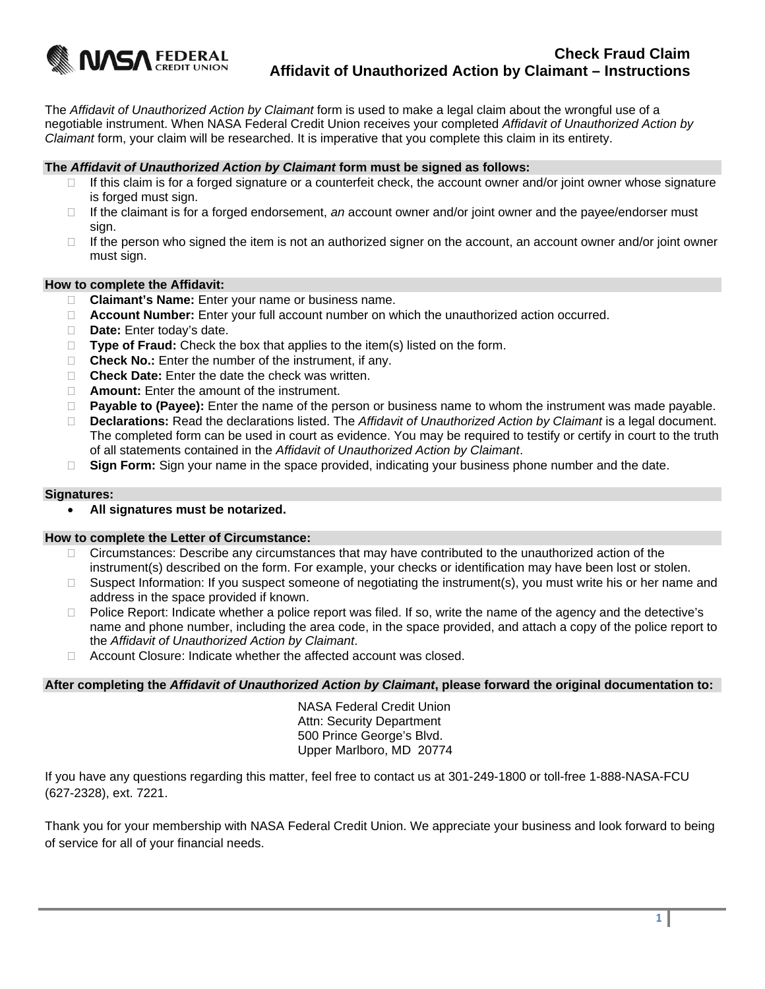

The *Affidavit of Unauthorized Action by Claimant* form is used to make a legal claim about the wrongful use of a negotiable instrument. When NASA Federal Credit Union receives your completed *Affidavit of Unauthorized Action by Claimant* form, your claim will be researched. It is imperative that you complete this claim in its entirety.

## **The** *Affidavit of Unauthorized Action by Claimant* **form must be signed as follows:**

- $\Box$  If this claim is for a forged signature or a counterfeit check, the account owner and/or joint owner whose signature is forged must sign.
- If the claimant is for a forged endorsement, *an* account owner and/or joint owner and the payee/endorser must sign.
- $\Box$  If the person who signed the item is not an authorized signer on the account, an account owner and/or joint owner must sign.

### **How to complete the Affidavit:**

- **Claimant's Name:** Enter your name or business name.
- **Account Number:** Enter your full account number on which the unauthorized action occurred.
- **Date:** Enter today's date.
- □ **Type of Fraud:** Check the box that applies to the item(s) listed on the form.
- □ **Check No.:** Enter the number of the instrument, if any.
- □ **Check Date:** Enter the date the check was written.
- **Amount:** Enter the amount of the instrument.
- **Payable to (Payee):** Enter the name of the person or business name to whom the instrument was made payable.
- **Declarations:** Read the declarations listed. The *Affidavit of Unauthorized Action by Claimant* is a legal document. The completed form can be used in court as evidence. You may be required to testify or certify in court to the truth of all statements contained in the *Affidavit of Unauthorized Action by Claimant*.
- □ **Sign Form:** Sign your name in the space provided, indicating your business phone number and the date.

#### **Signatures:**

**All signatures must be notarized.** 

#### **How to complete the Letter of Circumstance:**

- $\Box$  Circumstances: Describe any circumstances that may have contributed to the unauthorized action of the instrument(s) described on the form. For example, your checks or identification may have been lost or stolen.
- $\Box$  Suspect Information: If you suspect someone of negotiating the instrument(s), you must write his or her name and address in the space provided if known.
- □ Police Report: Indicate whether a police report was filed. If so, write the name of the agency and the detective's name and phone number, including the area code, in the space provided, and attach a copy of the police report to the *Affidavit of Unauthorized Action by Claimant*.
- Account Closure: Indicate whether the affected account was closed.

**After completing the** *Affidavit of Unauthorized Action by Claimant***, please forward the original documentation to:** 

NASA Federal Credit Union Attn: Security Department 500 Prince George's Blvd. Upper Marlboro, MD 20774

If you have any questions regarding this matter, feel free to contact us at 301-249-1800 or toll-free 1-888-NASA-FCU (627-2328), ext. 7221.

Thank you for your membership with NASA Federal Credit Union. We appreciate your business and look forward to being of service for all of your financial needs.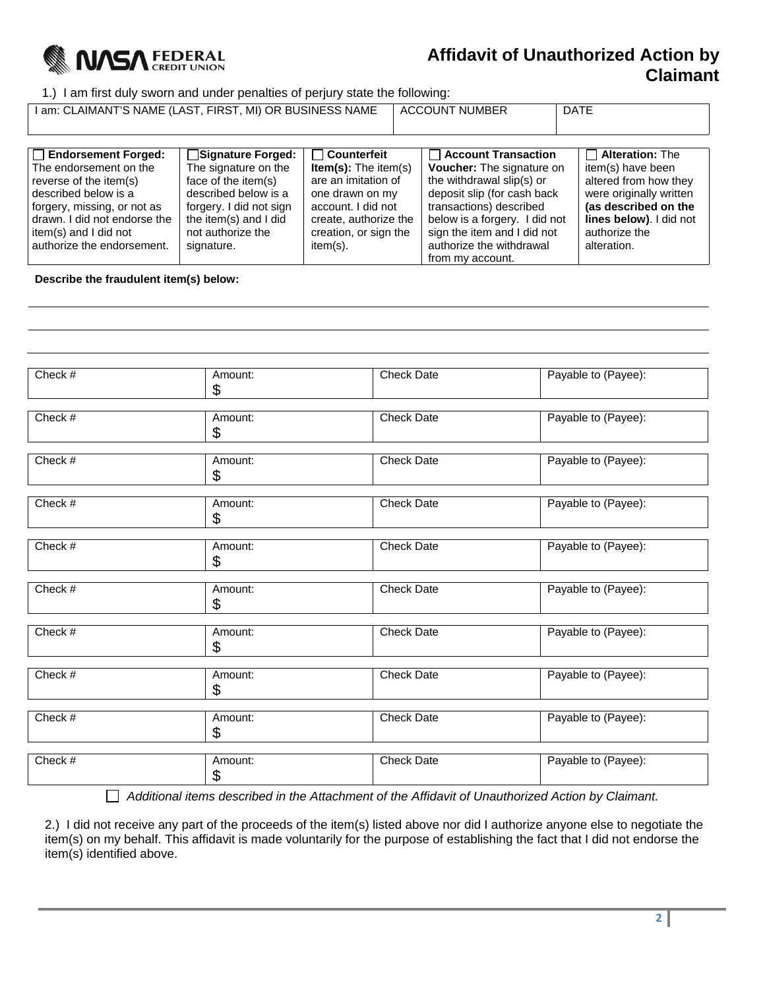

# **Affidavit of Unauthorized Action by Claimant**

1.) I am first duly sworn and under penalties of perjury state the following:

I am: CLAIMANT'S NAME (LAST, FIRST, MI) OR BUSINESS NAME | ACCOUNT NUMBER | DATE

| $\Box$ Endorsement Forged:   | <b>■Signature Forged:</b> | $\Box$ Counterfeit          | Account Transaction              | $\Box$ Alteration: The  |
|------------------------------|---------------------------|-----------------------------|----------------------------------|-------------------------|
| The endorsement on the       | The signature on the      | <b>Item(s):</b> The item(s) | <b>Voucher:</b> The signature on | item(s) have been       |
| reverse of the item(s)       | face of the item(s)       | are an imitation of         | the withdrawal slip(s) or        | altered from how they   |
| described below is a         | described below is a      | one drawn on my             | deposit slip (for cash back      | were originally written |
| forgery, missing, or not as  | forgery. I did not sign   | account. I did not          | transactions) described          | (as described on the    |
| drawn. I did not endorse the | the item(s) and I did     | create, authorize the       | below is a forgery. I did not    | lines below). I did not |
| item(s) and I did not        | not authorize the         | creation, or sign the       | sign the item and I did not      | authorize the           |
| authorize the endorsement.   | signature.                | item(s).                    | authorize the withdrawal         | alteration.             |
|                              |                           |                             | from my account.                 |                         |

**Describe the fraudulent item(s) below:** 

| Check #   | Amount:<br>\$ | <b>Check Date</b> | Payable to (Payee): |
|-----------|---------------|-------------------|---------------------|
|           |               |                   |                     |
| Check #   | Amount:<br>\$ | <b>Check Date</b> | Payable to (Payee): |
|           |               |                   |                     |
| Check #   | Amount:<br>\$ | <b>Check Date</b> | Payable to (Payee): |
|           |               |                   |                     |
| Check #   | Amount:<br>\$ | <b>Check Date</b> | Payable to (Payee): |
|           |               |                   |                     |
| Check $#$ | Amount:<br>\$ | <b>Check Date</b> | Payable to (Payee): |
|           |               |                   |                     |
| Check #   | Amount:<br>\$ | <b>Check Date</b> | Payable to (Payee): |
|           |               |                   |                     |
| Check #   | Amount:<br>\$ | <b>Check Date</b> | Payable to (Payee): |
|           |               |                   |                     |
| Check $#$ | Amount:<br>\$ | <b>Check Date</b> | Payable to (Payee): |
|           |               |                   |                     |
| Check #   | Amount:<br>\$ | <b>Check Date</b> | Payable to (Payee): |
|           |               |                   |                     |
| Check #   | Amount:<br>\$ | <b>Check Date</b> | Payable to (Payee): |

 *Additional items described in the Attachment of the Affidavit of Unauthorized Action by Claimant.* 

2.) I did not receive any part of the proceeds of the item(s) listed above nor did I authorize anyone else to negotiate the item(s) on my behalf. This affidavit is made voluntarily for the purpose of establishing the fact that I did not endorse the item(s) identified above.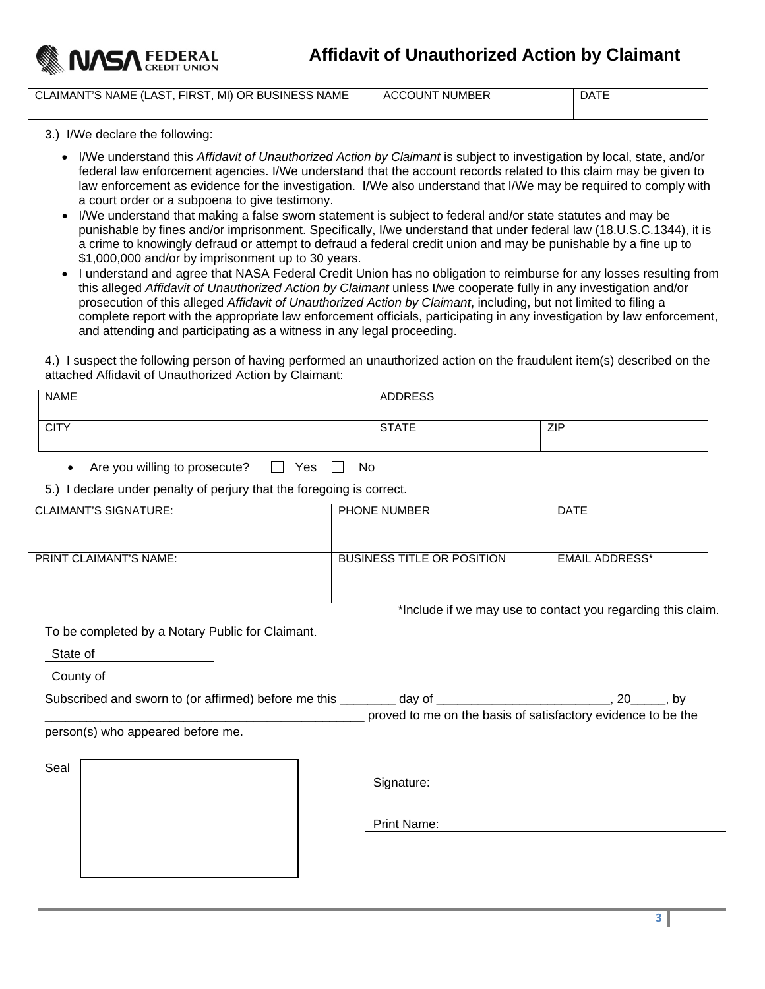

CLAIMANT'S NAME (LAST, FIRST, MI) OR BUSINESS NAME | ACCOUNT NUMBER | DATE

3.) I/We declare the following:

- I/We understand this *Affidavit of Unauthorized Action by Claimant* is subject to investigation by local, state, and/or federal law enforcement agencies. I/We understand that the account records related to this claim may be given to law enforcement as evidence for the investigation. I/We also understand that I/We may be required to comply with a court order or a subpoena to give testimony.
- I/We understand that making a false sworn statement is subject to federal and/or state statutes and may be punishable by fines and/or imprisonment. Specifically, I/we understand that under federal law (18.U.S.C.1344), it is a crime to knowingly defraud or attempt to defraud a federal credit union and may be punishable by a fine up to \$1,000,000 and/or by imprisonment up to 30 years.
- I understand and agree that NASA Federal Credit Union has no obligation to reimburse for any losses resulting from this alleged *Affidavit of Unauthorized Action by Claimant* unless I/we cooperate fully in any investigation and/or prosecution of this alleged *Affidavit of Unauthorized Action by Claimant*, including, but not limited to filing a complete report with the appropriate law enforcement officials, participating in any investigation by law enforcement, and attending and participating as a witness in any legal proceeding.

4.) I suspect the following person of having performed an unauthorized action on the fraudulent item(s) described on the attached Affidavit of Unauthorized Action by Claimant:

| <b>NAME</b> | <b>ADDRESS</b> |            |
|-------------|----------------|------------|
| <b>CITY</b> | <b>STATE</b>   | <b>ZIP</b> |

Are you willing to prosecute?  $\Box$  Yes  $\Box$  No

5.) I declare under penalty of perjury that the foregoing is correct.

| CLAIMANT'S SIGNATURE:         | <b>PHONE NUMBER</b>               | <b>DATE</b>           |
|-------------------------------|-----------------------------------|-----------------------|
| <b>PRINT CLAIMANT'S NAME:</b> | <b>BUSINESS TITLE OR POSITION</b> | <b>EMAIL ADDRESS*</b> |

\*Include if we may use to contact you regarding this claim.

To be completed by a Notary Public for Claimant.

State of

County of

| Subscribed and sworn to (or affirmed) before me this | dav of |                                                              |
|------------------------------------------------------|--------|--------------------------------------------------------------|
|                                                      |        | proved to me on the basis of satisfactory evidence to be the |

person(s) who appeared before me.

Seal

Signature:

Print Name: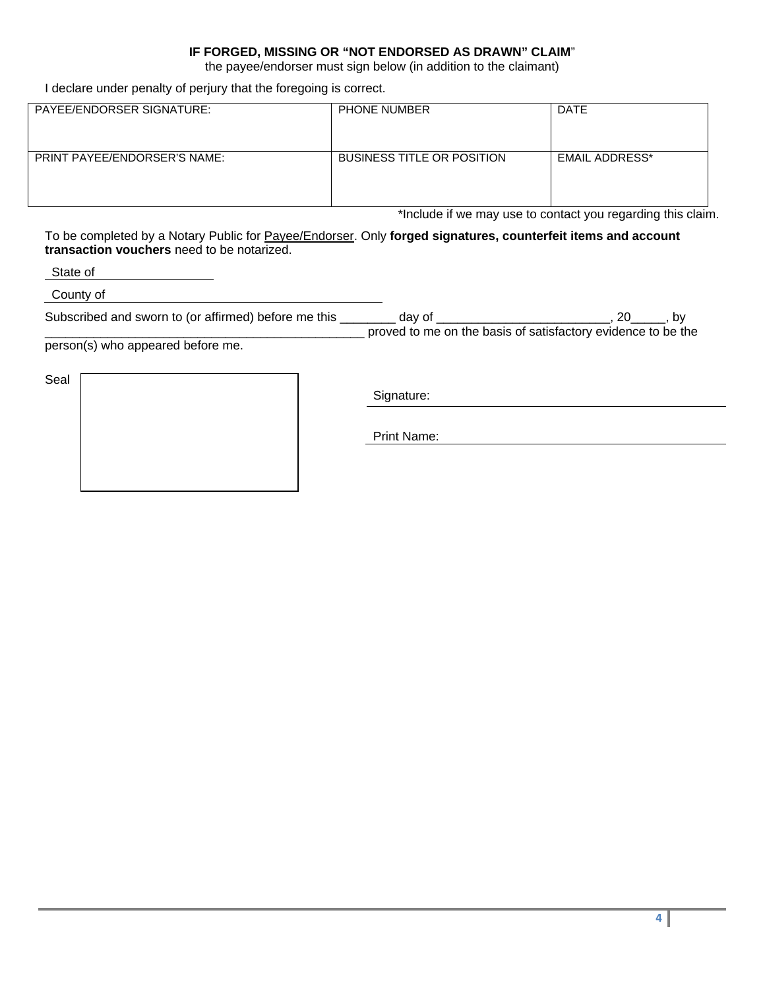# **IF FORGED, MISSING OR "NOT ENDORSED AS DRAWN" CLAIM**"

the payee/endorser must sign below (in addition to the claimant)

I declare under penalty of perjury that the foregoing is correct.

| PAYEE/ENDORSER SIGNATURE:           | <b>PHONE NUMBER</b>               | <b>DATE</b>           |
|-------------------------------------|-----------------------------------|-----------------------|
| <b>PRINT PAYEE/ENDORSER'S NAME:</b> | <b>BUSINESS TITLE OR POSITION</b> | <b>EMAIL ADDRESS*</b> |

\*Include if we may use to contact you regarding this claim.

To be completed by a Notary Public for Payee/Endorser. Only **forged signatures, counterfeit items and account transaction vouchers** need to be notarized.

State of

County of

| Subscribed and sworn to (or affirmed) before me this | dav of |                                                              |
|------------------------------------------------------|--------|--------------------------------------------------------------|
|                                                      |        | proved to me on the basis of satisfactory evidence to be the |

person(s) who appeared before me.

Seal

Signature:

Print Name: